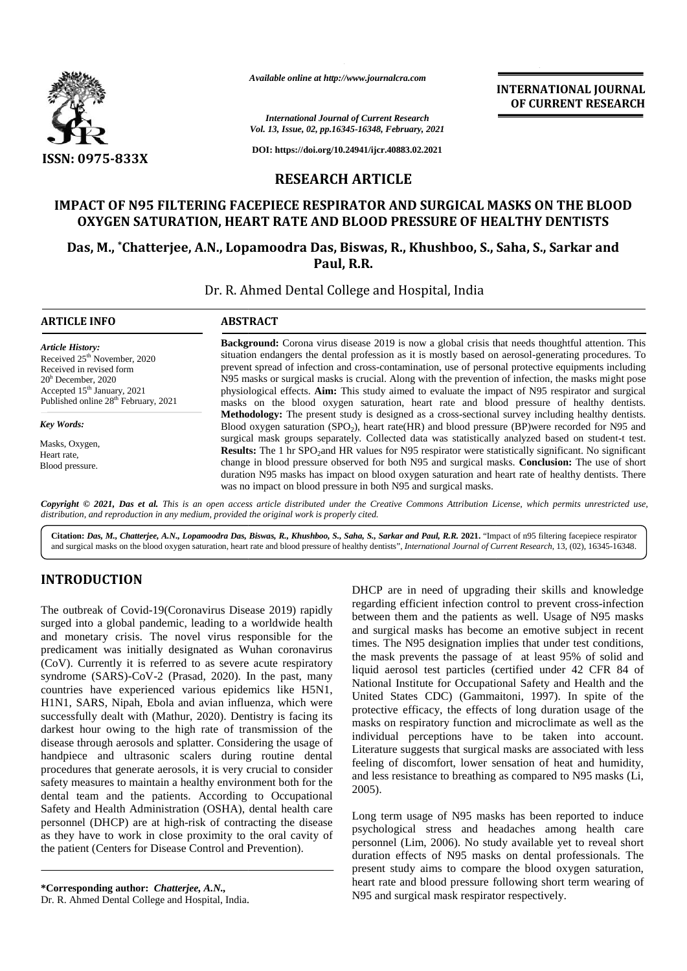

*Available online at http://www.journalcra.com*

### **IMPACT OF N95 FILTERING FACEPIECE RESPIRATOR AND SURGICAL MASKS ON THE BLOOD OXYGEN SATURATION, HEART RATE AND BLOOD PRESSURE OF HEALTHY DENTISTS**

|                                                                                                                                                                                                                                                                                                                                                                                                                                                                                                                                                                                                                                                                                                                                                                                                                                                                                                                                                                                                                                                                                                                                                                                                                                      | Available online at http://www.journalcra.com                                                                                                                                                                                                                                                                                                                                                                                                                                                                                                                                                                                                                                                                                                                                                                                                                                                                                                                                                                                                                                                                                                                                                                                                                                                                                                                                                                                                                                                                                                                                                                                                                                         |                                                                                                        | <b>INTERNATIONAL JOURNAL</b><br>OF CURRENT RESEARCH                                                                                                                                                                                                                                                                                                                                                                                                                                                                                                                                                                                                                                                                                                                                                                                                                                                                                                                                                                                                                                                                                                                                                                                    |  |  |  |
|--------------------------------------------------------------------------------------------------------------------------------------------------------------------------------------------------------------------------------------------------------------------------------------------------------------------------------------------------------------------------------------------------------------------------------------------------------------------------------------------------------------------------------------------------------------------------------------------------------------------------------------------------------------------------------------------------------------------------------------------------------------------------------------------------------------------------------------------------------------------------------------------------------------------------------------------------------------------------------------------------------------------------------------------------------------------------------------------------------------------------------------------------------------------------------------------------------------------------------------|---------------------------------------------------------------------------------------------------------------------------------------------------------------------------------------------------------------------------------------------------------------------------------------------------------------------------------------------------------------------------------------------------------------------------------------------------------------------------------------------------------------------------------------------------------------------------------------------------------------------------------------------------------------------------------------------------------------------------------------------------------------------------------------------------------------------------------------------------------------------------------------------------------------------------------------------------------------------------------------------------------------------------------------------------------------------------------------------------------------------------------------------------------------------------------------------------------------------------------------------------------------------------------------------------------------------------------------------------------------------------------------------------------------------------------------------------------------------------------------------------------------------------------------------------------------------------------------------------------------------------------------------------------------------------------------|--------------------------------------------------------------------------------------------------------|----------------------------------------------------------------------------------------------------------------------------------------------------------------------------------------------------------------------------------------------------------------------------------------------------------------------------------------------------------------------------------------------------------------------------------------------------------------------------------------------------------------------------------------------------------------------------------------------------------------------------------------------------------------------------------------------------------------------------------------------------------------------------------------------------------------------------------------------------------------------------------------------------------------------------------------------------------------------------------------------------------------------------------------------------------------------------------------------------------------------------------------------------------------------------------------------------------------------------------------|--|--|--|
|                                                                                                                                                                                                                                                                                                                                                                                                                                                                                                                                                                                                                                                                                                                                                                                                                                                                                                                                                                                                                                                                                                                                                                                                                                      |                                                                                                                                                                                                                                                                                                                                                                                                                                                                                                                                                                                                                                                                                                                                                                                                                                                                                                                                                                                                                                                                                                                                                                                                                                                                                                                                                                                                                                                                                                                                                                                                                                                                                       | <b>International Journal of Current Research</b><br>Vol. 13, Issue, 02, pp.16345-16348, February, 2021 |                                                                                                                                                                                                                                                                                                                                                                                                                                                                                                                                                                                                                                                                                                                                                                                                                                                                                                                                                                                                                                                                                                                                                                                                                                        |  |  |  |
| ISSN: 0975-833X                                                                                                                                                                                                                                                                                                                                                                                                                                                                                                                                                                                                                                                                                                                                                                                                                                                                                                                                                                                                                                                                                                                                                                                                                      |                                                                                                                                                                                                                                                                                                                                                                                                                                                                                                                                                                                                                                                                                                                                                                                                                                                                                                                                                                                                                                                                                                                                                                                                                                                                                                                                                                                                                                                                                                                                                                                                                                                                                       | DOI: https://doi.org/10.24941/ijcr.40883.02.2021                                                       |                                                                                                                                                                                                                                                                                                                                                                                                                                                                                                                                                                                                                                                                                                                                                                                                                                                                                                                                                                                                                                                                                                                                                                                                                                        |  |  |  |
|                                                                                                                                                                                                                                                                                                                                                                                                                                                                                                                                                                                                                                                                                                                                                                                                                                                                                                                                                                                                                                                                                                                                                                                                                                      | <b>RESEARCH ARTICLE</b>                                                                                                                                                                                                                                                                                                                                                                                                                                                                                                                                                                                                                                                                                                                                                                                                                                                                                                                                                                                                                                                                                                                                                                                                                                                                                                                                                                                                                                                                                                                                                                                                                                                               |                                                                                                        |                                                                                                                                                                                                                                                                                                                                                                                                                                                                                                                                                                                                                                                                                                                                                                                                                                                                                                                                                                                                                                                                                                                                                                                                                                        |  |  |  |
|                                                                                                                                                                                                                                                                                                                                                                                                                                                                                                                                                                                                                                                                                                                                                                                                                                                                                                                                                                                                                                                                                                                                                                                                                                      | OXYGEN SATURATION, HEART RATE AND BLOOD PRESSURE OF HEALTHY DENTISTS                                                                                                                                                                                                                                                                                                                                                                                                                                                                                                                                                                                                                                                                                                                                                                                                                                                                                                                                                                                                                                                                                                                                                                                                                                                                                                                                                                                                                                                                                                                                                                                                                  |                                                                                                        | IMPACT OF N95 FILTERING FACEPIECE RESPIRATOR AND SURGICAL MASKS ON THE BLOOD                                                                                                                                                                                                                                                                                                                                                                                                                                                                                                                                                                                                                                                                                                                                                                                                                                                                                                                                                                                                                                                                                                                                                           |  |  |  |
|                                                                                                                                                                                                                                                                                                                                                                                                                                                                                                                                                                                                                                                                                                                                                                                                                                                                                                                                                                                                                                                                                                                                                                                                                                      |                                                                                                                                                                                                                                                                                                                                                                                                                                                                                                                                                                                                                                                                                                                                                                                                                                                                                                                                                                                                                                                                                                                                                                                                                                                                                                                                                                                                                                                                                                                                                                                                                                                                                       | Paul, R.R.                                                                                             | Das, M., *Chatterjee, A.N., Lopamoodra Das, Biswas, R., Khushboo, S., Saha, S., Sarkar and                                                                                                                                                                                                                                                                                                                                                                                                                                                                                                                                                                                                                                                                                                                                                                                                                                                                                                                                                                                                                                                                                                                                             |  |  |  |
|                                                                                                                                                                                                                                                                                                                                                                                                                                                                                                                                                                                                                                                                                                                                                                                                                                                                                                                                                                                                                                                                                                                                                                                                                                      | Dr. R. Ahmed Dental College and Hospital, India                                                                                                                                                                                                                                                                                                                                                                                                                                                                                                                                                                                                                                                                                                                                                                                                                                                                                                                                                                                                                                                                                                                                                                                                                                                                                                                                                                                                                                                                                                                                                                                                                                       |                                                                                                        |                                                                                                                                                                                                                                                                                                                                                                                                                                                                                                                                                                                                                                                                                                                                                                                                                                                                                                                                                                                                                                                                                                                                                                                                                                        |  |  |  |
| <b>ARTICLE INFO</b>                                                                                                                                                                                                                                                                                                                                                                                                                                                                                                                                                                                                                                                                                                                                                                                                                                                                                                                                                                                                                                                                                                                                                                                                                  | <b>ABSTRACT</b>                                                                                                                                                                                                                                                                                                                                                                                                                                                                                                                                                                                                                                                                                                                                                                                                                                                                                                                                                                                                                                                                                                                                                                                                                                                                                                                                                                                                                                                                                                                                                                                                                                                                       |                                                                                                        |                                                                                                                                                                                                                                                                                                                                                                                                                                                                                                                                                                                                                                                                                                                                                                                                                                                                                                                                                                                                                                                                                                                                                                                                                                        |  |  |  |
| Received 25 <sup>th</sup> November, 2020<br>Received in revised form<br>$20h$ December, 2020<br>Accepted 15 <sup>th</sup> January, 2021<br>Published online 28 <sup>th</sup> February, 2021<br><b>Key Words:</b><br>Masks, Oxygen,<br>Heart rate,<br>Blood pressure.                                                                                                                                                                                                                                                                                                                                                                                                                                                                                                                                                                                                                                                                                                                                                                                                                                                                                                                                                                 | situation endangers the dental profession as it is mostly based on aerosol-generating procedures. To<br>prevent spread of infection and cross-contamination, use of personal protective equipments including<br>N95 masks or surgical masks is crucial. Along with the prevention of infection, the masks might pose<br>physiological effects. Aim: This study aimed to evaluate the impact of N95 respirator and surgical<br>masks on the blood oxygen saturation, heart rate and blood pressure of healthy dentists.<br>Methodology: The present study is designed as a cross-sectional survey including healthy dentists.<br>Blood oxygen saturation (SPO <sub>2</sub> ), heart rate(HR) and blood pressure (BP)were recorded for N95 and<br>surgical mask groups separately. Collected data was statistically analyzed based on student-t test.<br>Results: The 1 hr SPO <sub>2</sub> and HR values for N95 respirator were statistically significant. No significant<br>change in blood pressure observed for both N95 and surgical masks. Conclusion: The use of short<br>duration N95 masks has impact on blood oxygen saturation and heart rate of healthy dentists. There<br>was no impact on blood pressure in both N95 and surgical masks.<br>Copyright © 2021, Das et al. This is an open access article distributed under the Creative Commons Attribution License, which permits unrestricted use,<br>distribution, and reproduction in any medium, provided the original work is properly cited.<br>Citation: Das, M., Chatterjee, A.N., Lopamoodra Das, Biswas, R., Khushboo, S., Saha, S., Sarkar and Paul, R.R. 2021. "Impact of n95 filtering facepiece respirator |                                                                                                        |                                                                                                                                                                                                                                                                                                                                                                                                                                                                                                                                                                                                                                                                                                                                                                                                                                                                                                                                                                                                                                                                                                                                                                                                                                        |  |  |  |
| <b>INTRODUCTION</b>                                                                                                                                                                                                                                                                                                                                                                                                                                                                                                                                                                                                                                                                                                                                                                                                                                                                                                                                                                                                                                                                                                                                                                                                                  |                                                                                                                                                                                                                                                                                                                                                                                                                                                                                                                                                                                                                                                                                                                                                                                                                                                                                                                                                                                                                                                                                                                                                                                                                                                                                                                                                                                                                                                                                                                                                                                                                                                                                       |                                                                                                        | and surgical masks on the blood oxygen saturation, heart rate and blood pressure of healthy dentists", International Journal of Current Research, 13, (02), 16345-16348.                                                                                                                                                                                                                                                                                                                                                                                                                                                                                                                                                                                                                                                                                                                                                                                                                                                                                                                                                                                                                                                               |  |  |  |
| The outbreak of Covid-19(Coronavirus Disease 2019) rapidly<br>surged into a global pandemic, leading to a worldwide health<br>and monetary crisis. The novel virus responsible for the<br>predicament was initially designated as Wuhan coronavirus<br>(CoV). Currently it is referred to as severe acute respiratory<br>syndrome (SARS)-CoV-2 (Prasad, 2020). In the past, many<br>countries have experienced various epidemics like H5N1,<br>H1N1, SARS, Nipah, Ebola and avian influenza, which were<br>successfully dealt with (Mathur, 2020). Dentistry is facing its<br>darkest hour owing to the high rate of transmission of the<br>disease through aerosols and splatter. Considering the usage of<br>handpiece and ultrasonic scalers during routine dental<br>procedures that generate aerosols, it is very crucial to consider<br>safety measures to maintain a healthy environment both for the<br>dental team and the patients. According to Occupational<br>Safety and Health Administration (OSHA), dental health care<br>personnel (DHCP) are at high-risk of contracting the disease<br>as they have to work in close proximity to the oral cavity of<br>the patient (Centers for Disease Control and Prevention). |                                                                                                                                                                                                                                                                                                                                                                                                                                                                                                                                                                                                                                                                                                                                                                                                                                                                                                                                                                                                                                                                                                                                                                                                                                                                                                                                                                                                                                                                                                                                                                                                                                                                                       | 2005).                                                                                                 | DHCP are in need of upgrading their skills and knowledge<br>regarding efficient infection control to prevent cross-infection<br>between them and the patients as well. Usage of N95 masks<br>and surgical masks has become an emotive subject in recent<br>times. The N95 designation implies that under test conditions,<br>the mask prevents the passage of at least 95% of solid and<br>liquid aerosol test particles (certified under 42 CFR 84 of<br>National Institute for Occupational Safety and Health and the<br>United States CDC) (Gammaitoni, 1997). In spite of the<br>protective efficacy, the effects of long duration usage of the<br>masks on respiratory function and microclimate as well as the<br>individual perceptions have to be taken into account.<br>Literature suggests that surgical masks are associated with less<br>feeling of discomfort, lower sensation of heat and humidity,<br>and less resistance to breathing as compared to N95 masks (Li,<br>Long term usage of N95 masks has been reported to induce<br>psychological stress and headaches among health care<br>personnel (Lim, 2006). No study available yet to reveal short<br>duration effects of N95 masks on dental professionals. The |  |  |  |
| $\&$ Comeanonding outhor Chatterias $\Lambda$ M                                                                                                                                                                                                                                                                                                                                                                                                                                                                                                                                                                                                                                                                                                                                                                                                                                                                                                                                                                                                                                                                                                                                                                                      |                                                                                                                                                                                                                                                                                                                                                                                                                                                                                                                                                                                                                                                                                                                                                                                                                                                                                                                                                                                                                                                                                                                                                                                                                                                                                                                                                                                                                                                                                                                                                                                                                                                                                       |                                                                                                        | present study aims to compare the blood oxygen saturation,<br>heart rate and blood pressure following short term wearing of                                                                                                                                                                                                                                                                                                                                                                                                                                                                                                                                                                                                                                                                                                                                                                                                                                                                                                                                                                                                                                                                                                            |  |  |  |

## **INTRODUCTION INTRODUCTION**

The outbreak of Covid-19(Coronavirus Disease 2019) rapidly surged into a global pandemic, leading to a worldwide health and monetary crisis. The novel virus responsible for the predicament was initially designated as Wuhan coronavirus (CoV). Currently it is referred to as severe acute respiratory syndrome (SARS)-CoV-2 (Prasad, 2020). In the past, many countries have experienced various epidemics like H5N1, H1N1, SARS, Nipah, Ebola and avian influenza, which were successfully dealt with (Mathur, 2020). Dentistry is facing its darkest hour owing to the high rate of transmission of the disease through aerosols and splatter. Considering the usage of handpiece and ultrasonic scalers during routine dental procedures that generate aerosols, it is very crucial to consider safety measures to maintain a healthy environment both for the dental team and the patients. According to Occupational Safety and Health Administration (OSHA), dental health care personnel (DHCP) are at high-risk of contracting the disease as they have to work in close proximity to the oral cavity of the patient (Centers for Disease Control and Prevention). The outbreak of Covid-19(Coronavirus Disease 2019) rapidly<br>surged into a global pandemic, leading to a worldwide health<br>and monetary crisis. The novel virus responsible for the<br>predicament was initially designated as Wuhan The outbreak of Covid-19(Coronavirus Discuse 2019) rapidly<br>
Desparding efficient infection control to prevent cross-infection<br>surged into a global pandemic, leading to a worldwide health<br>
and surgical masks has become an

Long term usage of N95 masks has been reported to induce psychological stress and headaches among health care personnel (Lim, 2006). No study available yet to reveal short duration effects of N95 masks on dental professionals. The present study aims to compare the blood oxygen saturation, heart rate and blood pressure following short term wearing of N95 and surgical mask respirator respectively.

**<sup>\*</sup>Corresponding author:** *Chatterjee, A.N.,* **\*Corresponding** Dr. R. Ahmed Dental College and Hospital, India.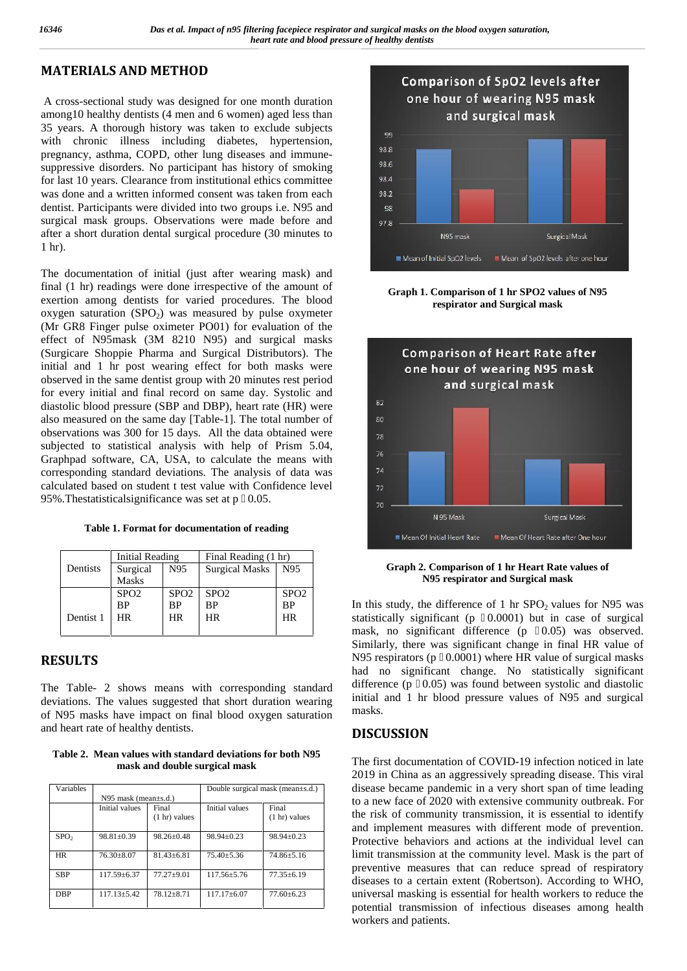# **MATERIALS AND METHOD**

A cross-sectional study was designed for one month duration among10 healthy dentists (4 men and 6 women) aged less than 35 years. A thorough history was taken to exclude subjects with chronic illness including diabetes, hypertension, pregnancy, asthma, COPD, other lung diseases and immune suppressive disorders. No participant has history of smoking for last 10 years. Clearance from institutional ethics committee was done and a written informed consent was taken from each dentist. Participants were divided into two groups i.e. N95 and surgical mask groups. Observations were made before and after a short duration dental surgical procedure (30 minutes to 1 hr).

The documentation of initial (just after wearing mask) and final (1 hr) readings were done irrespective of the amount of exertion among dentists for varied procedures. The blood oxygen saturation  $(SPO<sub>2</sub>)$  was measured by pulse oxymeter (Mr GR8 Finger pulse oximeter PO01) for evaluation of the effect of N95mask (3M 8210 N95) and surgical masks (Surgicare Shoppie Pharma and Surgical Distributors). The initial and 1 hr post wearing effect for both masks were observed in the same dentist group with 20 minutes rest period for every initial and final record on same day. Systolic and diastolic blood pressure (SBP and DBP), heart rate (HR) were also measured on the same day [Table-1]. The total number of observations was 300 for 15 days. All the data obtained were subjected to statistical analysis with help of Prism 5.04, Graphpad software, CA, USA, to calculate the means with corresponding standard deviations. The analysis of data was calculated based on student t test value with Confidence level 95%. The statistical significance was set at  $p \quad 0.05$ .

|           | Initial Reading  |                  | Final Reading (1 hr)  |                  |
|-----------|------------------|------------------|-----------------------|------------------|
| Dentists  | Surgical         | N95              | <b>Surgical Masks</b> | N95              |
|           | <b>Masks</b>     |                  |                       |                  |
|           | SPO <sub>2</sub> | SPO <sub>2</sub> | SPO <sub>2</sub>      | SPO <sub>2</sub> |
|           | BP               | BP               | BP                    | <b>BP</b>        |
| Dentist 1 | HR.              | HR.              | <b>HR</b>             | HR               |
|           |                  |                  |                       |                  |

## **RESULTS**

The Table- 2 shows means with corresponding standard deviations. The values suggested that short duration wearing of N95 masks have impact on final blood oxygen saturation and heart rate of healthy dentists.

**Table 2. Mean values with standard deviations for both N95 mask and double surgical mask**

| Variables        |                              |                         | Double surgical mask (mean $\pm$ s.d.) |                 |  |
|------------------|------------------------------|-------------------------|----------------------------------------|-----------------|--|
|                  | $N95$ mask (mean $\pm$ s.d.) |                         |                                        |                 |  |
|                  | Initial values               | Final                   | Initial values                         | Final           |  |
|                  |                              | $(1 \text{ hr})$ values |                                        | $(1 hr)$ values |  |
|                  |                              |                         |                                        |                 |  |
| SPO <sub>2</sub> | $98.81 \pm 0.39$             | $98.26 \pm 0.48$        | $98.94 + 0.23$                         | $98.94 + 0.23$  |  |
| <b>HR</b>        | $76.30 + 8.07$               | $81.43 \pm 6.81$        | $75.40 \pm 5.36$                       | $74.86 + 5.16$  |  |
| <b>SBP</b>       | 117.59+6.37                  | $77.27 + 9.01$          | $117.56 + 5.76$                        | $77.35 + 6.19$  |  |
| <b>DBP</b>       | $117.13 + 5.42$              | $78.12 + 8.71$          | $117.17 + 6.07$                        | $77.60 + 6.23$  |  |



**Graph 1. Comparison of 1 hr SPO2 values of N95 respirator and Surgical mask**



**Graph 2. Comparison of 1 hr Heart Rate values of N95 respirator and Surgical mask**

In this study, the difference of 1 hr  $SPO<sub>2</sub>$  values for N95 was statistically significant  $(p \ 0.0001)$  but in case of surgical mask, no significant difference (p 0.05) was observed. Similarly, there was significant change in final HR value of N95 respirators ( $p \quad 0.0001$ ) where HR value of surgical masks had no significant change. No statistically significant difference (p 0.05) was found between systolic and diastolic initial and 1 hr blood pressure values of N95 and surgical masks.

#### **DISCUSSION**

The first documentation of COVID-19 infection noticed in late 2019 in China as an aggressively spreading disease. This viral disease became pandemic in a very short span of time leading to a new face of 2020 with extensive community outbreak. For the risk of community transmission, it is essential to identify and implement measures with different mode of prevention. Protective behaviors and actions at the individual level can limit transmission at the community level. Mask is the part of preventive measures that can reduce spread of respiratory diseases to a certain extent (Robertson). According to WHO, universal masking is essential for health workers to reduce the potential transmission of infectious diseases among health workers and patients.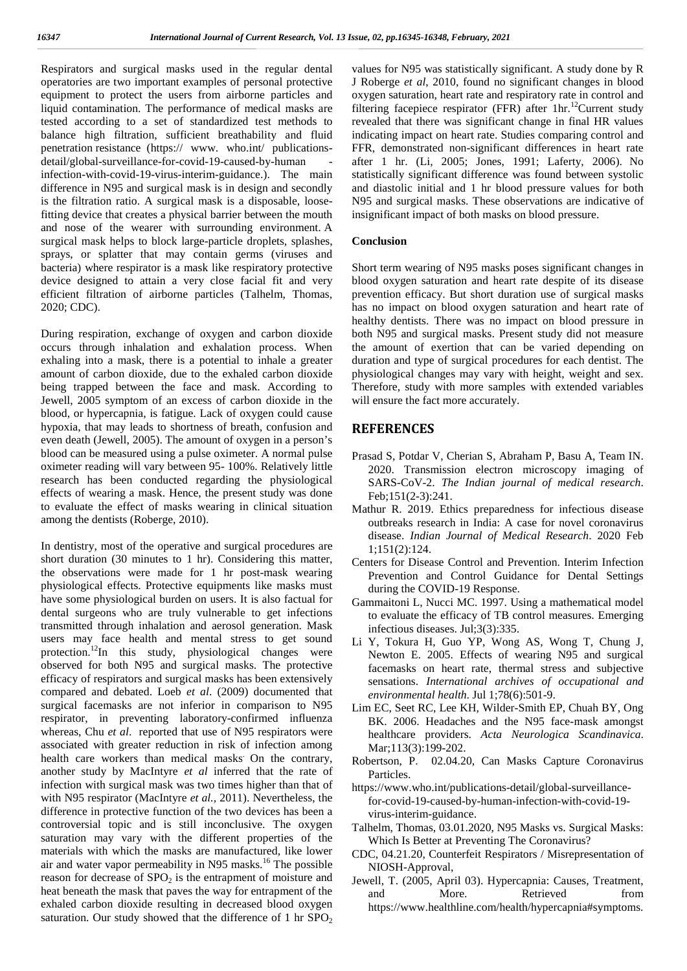Respirators and surgical masks used in the regular dental operatories are two important examples of personal protective equipment to protect the users from airborne particles and liquid contamination. The performance of medical masks are tested according to a set of standardized test methods to balance high filtration, sufficient breathability and fluid penetration resistance (https:// www. who.int/ publications detail/global-surveillance-for-covid-19-caused-by-human infection-with-covid-19-virus-interim-guidance.). The main difference in N95 and surgical mask is in design and secondly is the filtration ratio. A surgical mask is a disposable, loosefitting device that creates a physical barrier between the mouth and nose of the wearer with surrounding environment. A surgical mask helps to block large-particle droplets, splashes, sprays, or splatter that may contain germs (viruses and bacteria) where respirator is a mask like respiratory protective device designed to attain a very close facial fit and very efficient filtration of airborne particles (Talhelm, Thomas, 2020; CDC).

During respiration, exchange of oxygen and carbon dioxide occurs through inhalation and exhalation process. When exhaling into a mask, there is a potential to inhale a greater amount of carbon dioxide, due to the exhaled carbon dioxide being trapped between the face and mask. According to Jewell, 2005 symptom of an excess of carbon dioxide in the blood, or hypercapnia, is fatigue. Lack of oxygen could cause hypoxia, that may leads to shortness of breath, confusion and even death (Jewell, 2005). The amount of oxygen in a person's blood can be measured using a pulse oximeter. A normal pulse oximeter reading will vary between 95- 100%. Relatively little research has been conducted regarding the physiological effects of wearing a mask. Hence, the present study was done to evaluate the effect of masks wearing in clinical situation among the dentists (Roberge, 2010).

In dentistry, most of the operative and surgical procedures are short duration (30 minutes to 1 hr). Considering this matter, the observations were made for 1 hr post-mask wearing physiological effects. Protective equipments like masks must have some physiological burden on users. It is also factual for dental surgeons who are truly vulnerable to get infections transmitted through inhalation and aerosol generation. Mask users may face health and mental stress to get sound protection.<sup>12</sup>In this study, physiological changes were observed for both N95 and surgical masks. The protective efficacy of respirators and surgical masks has been extensively compared and debated. Loeb *et al*. (2009) documented that surgical facemasks are not inferior in comparison to N95 respirator, in preventing laboratory-confirmed influenza whereas, Chu *et al*. reported that use of N95 respirators were associated with greater reduction in risk of infection among health care workers than medical masks: On the contrary, another study by MacIntyre *et al* inferred that the rate of infection with surgical mask was two times higher than that of with N95 respirator (MacIntyre *et al.,* 2011). Nevertheless, the difference in protective function of the two devices has been a controversial topic and is still inconclusive. The oxygen saturation may vary with the different properties of the materials with which the masks are manufactured, like lower air and water vapor permeability in N95 masks.<sup>16</sup> The possible reason for decrease of  $SPO<sub>2</sub>$  is the entrapment of moisture and heat beneath the mask that paves the way for entrapment of the and exhaled carbon dioxide resulting in decreased blood oxygen saturation. Our study showed that the difference of 1 hr  $SPO<sub>2</sub>$ 

values for N95 was statistically significant. A study done by R J Roberge *et al*, 2010, found no significant changes in blood oxygen saturation, heart rate and respiratory rate in control and filtering facepiece respirator (FFR) after  $1 \text{hr}$ .<sup>12</sup>Current study revealed that there was significant change in final HR values indicating impact on heart rate. Studies comparing control and FFR, demonstrated non-significant differences in heart rate after 1 hr. (Li, 2005; Jones, 1991; Laferty, 2006). No statistically significant difference was found between systolic and diastolic initial and 1 hr blood pressure values for both N95 and surgical masks. These observations are indicative of insignificant impact of both masks on blood pressure.

#### **Conclusion**

Short term wearing of N95 masks poses significant changes in blood oxygen saturation and heart rate despite of its disease prevention efficacy. But short duration use of surgical masks has no impact on blood oxygen saturation and heart rate of healthy dentists. There was no impact on blood pressure in both N95 and surgical masks. Present study did not measure the amount of exertion that can be varied depending on duration and type of surgical procedures for each dentist. The physiological changes may vary with height, weight and sex. Therefore, study with more samples with extended variables will ensure the fact more accurately.

#### **REFERENCES**

- Prasad S, Potdar V, Cherian S, Abraham P, Basu A, Team IN. 2020. Transmission electron microscopy imaging of SARS-CoV-2. *The Indian journal of medical research*. Feb;151(2-3):241.
- Mathur R. 2019. Ethics preparedness for infectious disease outbreaks research in India: A case for novel coronavirus disease. *Indian Journal of Medical Research*. 2020 Feb 1;151(2):124.
- Centers for Disease Control and Prevention. Interim Infection Prevention and Control Guidance for Dental Settings during the COVID-19 Response.
- Gammaitoni L, Nucci MC. 1997. Using a mathematical model to evaluate the efficacy of TB control measures. Emerging infectious diseases. Jul;3(3):335.
- Li Y, Tokura H, Guo YP, Wong AS, Wong T, Chung J, Newton E. 2005. Effects of wearing N95 and surgical facemasks on heart rate, thermal stress and subjective sensations. *International archives of occupational and environmental health*. Jul 1;78(6):501-9.
- Lim EC, Seet RC, Lee KH, Wilder Smith EP, Chuah BY, Ong BK. 2006. Headaches and the N95 face mask amongst healthcare providers. *Acta Neurologica Scandinavica*. Mar:113(3):199-202.
- Robertson, P. 02.04.20, Can Masks Capture Coronavirus Particles.
- https://www.who.int/publications-detail/global-surveillancefor-covid-19-caused-by-human-infection-with-covid-19 virus-interim-guidance.
- Talhelm, Thomas, 03.01.2020, N95 Masks vs. Surgical Masks: Which Is Better at Preventing The Coronavirus?
- CDC, 04.21.20, Counterfeit Respirators / Misrepresentation of NIOSH-Approval,
- Jewell, T. (2005, April 03). Hypercapnia: Causes, Treatment, More. Retrieved from https://www.healthline.com/health/hypercapnia#symptoms.